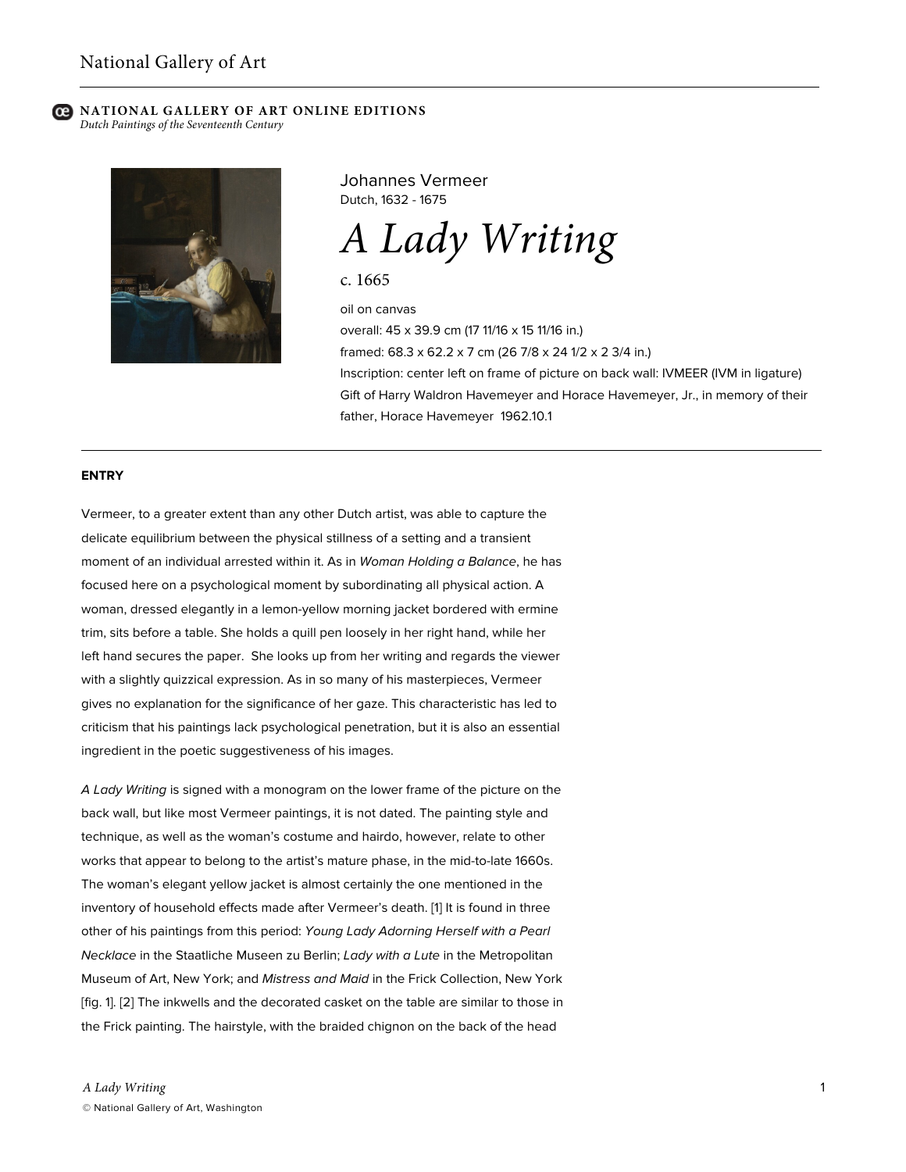*Dutch Paintings of the Seventeenth Century*



Johannes Vermeer Dutch, 1632 - 1675

*A Lady Writing*

c. 1665

oil on canvas overall: 45 x 39.9 cm (17 11/16 x 15 11/16 in.) framed: 68.3 x 62.2 x 7 cm (26 7/8 x 24 1/2 x 2 3/4 in.) Inscription: center left on frame of picture on back wall: IVMEER (IVM in ligature) Gift of Harry Waldron Havemeyer and Horace Havemeyer, Jr., in memory of their father, Horace Havemeyer 1962.10.1

#### **ENTRY**

Vermeer, to a greater extent than any other Dutch artist, was able to capture the delicate equilibrium between the physical stillness of a setting and a transient moment of an individual arrested within it. As in *Woman Holding a Balance*, he has focused here on a psychological moment by subordinating all physical action. A woman, dressed elegantly in a lemon-yellow morning jacket bordered with ermine trim, sits before a table. She holds a quill pen loosely in her right hand, while her left hand secures the paper. She looks up from her writing and regards the viewer with a slightly quizzical expression. As in so many of his masterpieces, Vermeer gives no explanation for the significance of her gaze. This characteristic has led to criticism that his paintings lack psychological penetration, but it is also an essential ingredient in the poetic suggestiveness of his images.

*A Lady Writing* is signed with a monogram on the lower frame of the picture on the back wall, but like most Vermeer paintings, it is not dated. The painting style and technique, as well as the woman's costume and hairdo, however, relate to other works that appear to belong to the artist's mature phase, in the mid-to-late 1660s. The woman's elegant yellow jacket is almost certainly the one mentioned in the inventory of household effects made after Vermeer's death. [1] It is found in three other of his paintings from this period: *Young Lady Adorning Herself with a Pearl Necklace* in the Staatliche Museen zu Berlin; *Lady with a Lute* in the Metropolitan Museum of Art, New York; and *Mistress and Maid* in the Frick Collection, New York [fig. 1]. [2] The inkwells and the decorated casket on the table are similar to those in the Frick painting. The hairstyle, with the braided chignon on the back of the head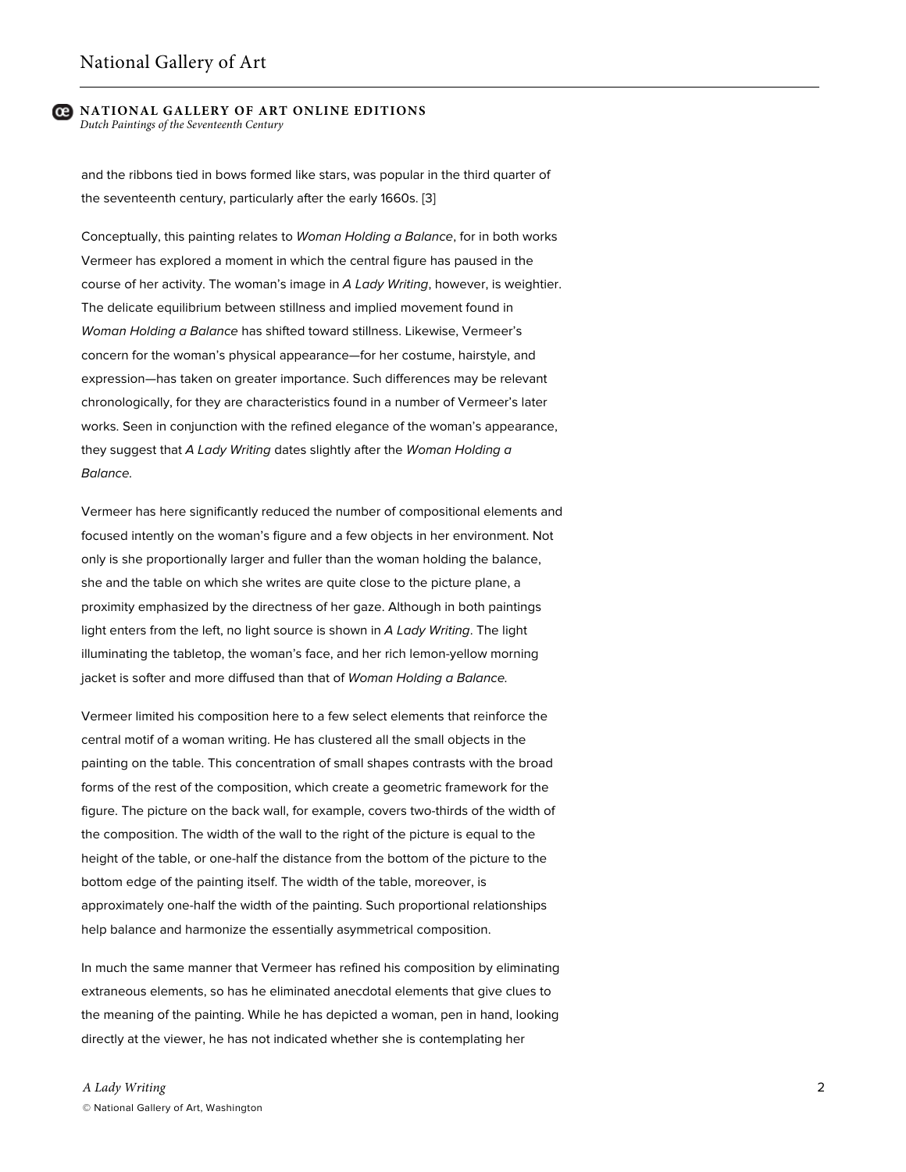and the ribbons tied in bows formed like stars, was popular in the third quarter of the seventeenth century, particularly after the early 1660s. [3]

Conceptually, this painting relates to *Woman Holding a Balance*, for in both works Vermeer has explored a moment in which the central figure has paused in the course of her activity. The woman's image in *A Lady Writing*, however, is weightier. The delicate equilibrium between stillness and implied movement found in *Woman Holding a Balance* has shifted toward stillness. Likewise, Vermeer's concern for the woman's physical appearance—for her costume, hairstyle, and expression—has taken on greater importance. Such differences may be relevant chronologically, for they are characteristics found in a number of Vermeer's later works. Seen in conjunction with the refined elegance of the woman's appearance, they suggest that *A Lady Writing* dates slightly after the *Woman Holding a Balance.*

Vermeer has here significantly reduced the number of compositional elements and focused intently on the woman's figure and a few objects in her environment. Not only is she proportionally larger and fuller than the woman holding the balance, she and the table on which she writes are quite close to the picture plane, a proximity emphasized by the directness of her gaze. Although in both paintings light enters from the left, no light source is shown in *A Lady Writing*. The light illuminating the tabletop, the woman's face, and her rich lemon-yellow morning jacket is softer and more diffused than that of *Woman Holding a Balance.*

Vermeer limited his composition here to a few select elements that reinforce the central motif of a woman writing. He has clustered all the small objects in the painting on the table. This concentration of small shapes contrasts with the broad forms of the rest of the composition, which create a geometric framework for the figure. The picture on the back wall, for example, covers two-thirds of the width of the composition. The width of the wall to the right of the picture is equal to the height of the table, or one-half the distance from the bottom of the picture to the bottom edge of the painting itself. The width of the table, moreover, is approximately one-half the width of the painting. Such proportional relationships help balance and harmonize the essentially asymmetrical composition.

In much the same manner that Vermeer has refined his composition by eliminating extraneous elements, so has he eliminated anecdotal elements that give clues to the meaning of the painting. While he has depicted a woman, pen in hand, looking directly at the viewer, he has not indicated whether she is contemplating her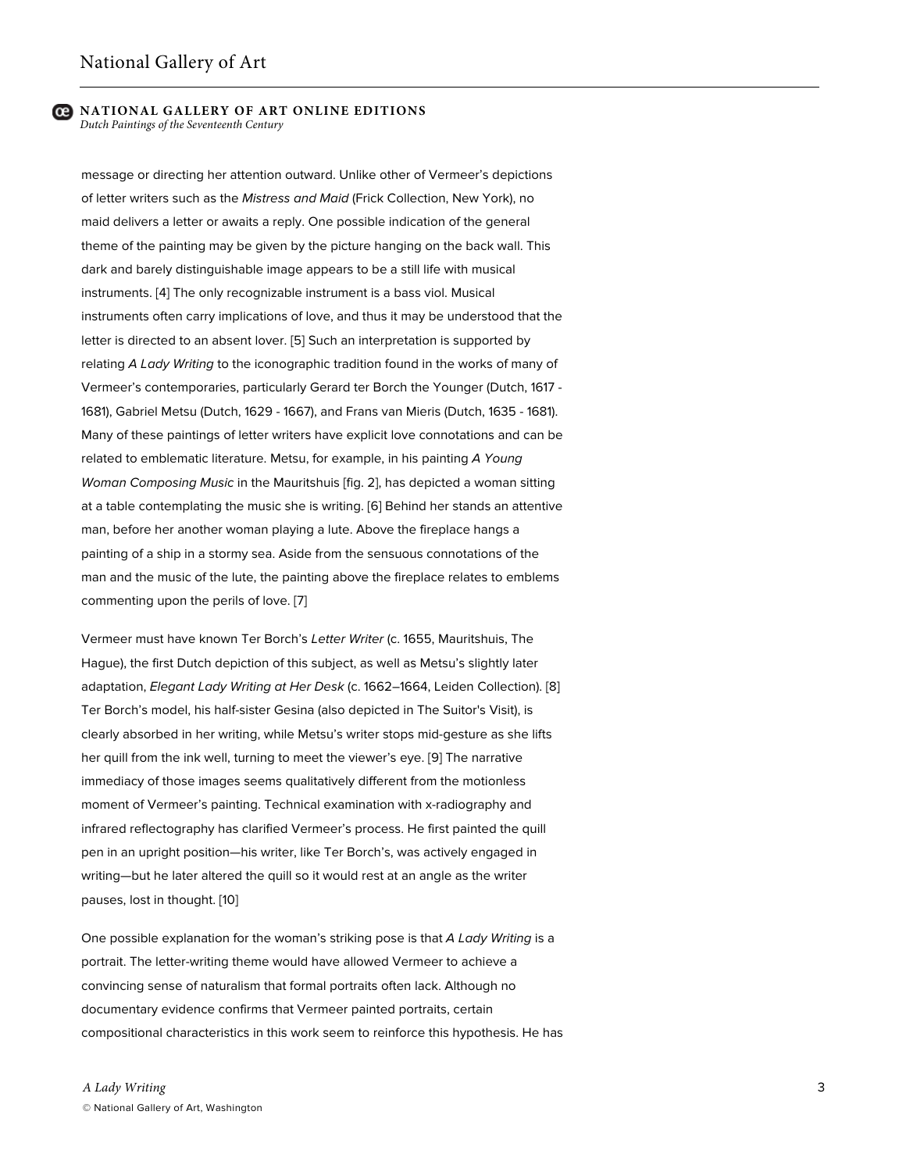message or directing her attention outward. Unlike other of Vermeer's depictions of letter writers such as the *Mistress and Maid* (Frick Collection, New York), no maid delivers a letter or awaits a reply. One possible indication of the general theme of the painting may be given by the picture hanging on the back wall. This dark and barely distinguishable image appears to be a still life with musical instruments. [4] The only recognizable instrument is a bass viol. Musical instruments often carry implications of love, and thus it may be understood that the letter is directed to an absent lover. [5] Such an interpretation is supported by relating *A Lady Writing* to the iconographic tradition found in the works of many of Vermeer's contemporaries, particularly Gerard ter Borch the Younger (Dutch, 1617 - 1681), Gabriel Metsu (Dutch, 1629 - 1667), and Frans van Mieris (Dutch, 1635 - 1681). Many of these paintings of letter writers have explicit love connotations and can be related to emblematic literature. Metsu, for example, in his painting *A Young Woman Composing Music* in the Mauritshuis [fig. 2], has depicted a woman sitting at a table contemplating the music she is writing. [6] Behind her stands an attentive man, before her another woman playing a lute. Above the fireplace hangs a painting of a ship in a stormy sea. Aside from the sensuous connotations of the man and the music of the lute, the painting above the fireplace relates to emblems commenting upon the perils of love. [7]

Vermeer must have known Ter Borch's *Letter Writer* (c. 1655, Mauritshuis, The Hague), the first Dutch depiction of this subject, as well as Metsu's slightly later adaptation, *Elegant Lady Writing at Her Desk* (c. 1662–1664, Leiden Collection). [8] Ter Borch's model, his half-sister Gesina (also depicted in The Suitor's Visit), is clearly absorbed in her writing, while Metsu's writer stops mid-gesture as she lifts her quill from the ink well, turning to meet the viewer's eye. [9] The narrative immediacy of those images seems qualitatively different from the motionless moment of Vermeer's painting. Technical examination with x-radiography and infrared reflectography has clarified Vermeer's process. He first painted the quill pen in an upright position—his writer, like Ter Borch's, was actively engaged in writing—but he later altered the quill so it would rest at an angle as the writer pauses, lost in thought. [10]

One possible explanation for the woman's striking pose is that *A Lady Writing* is a portrait. The letter-writing theme would have allowed Vermeer to achieve a convincing sense of naturalism that formal portraits often lack. Although no documentary evidence confirms that Vermeer painted portraits, certain compositional characteristics in this work seem to reinforce this hypothesis. He has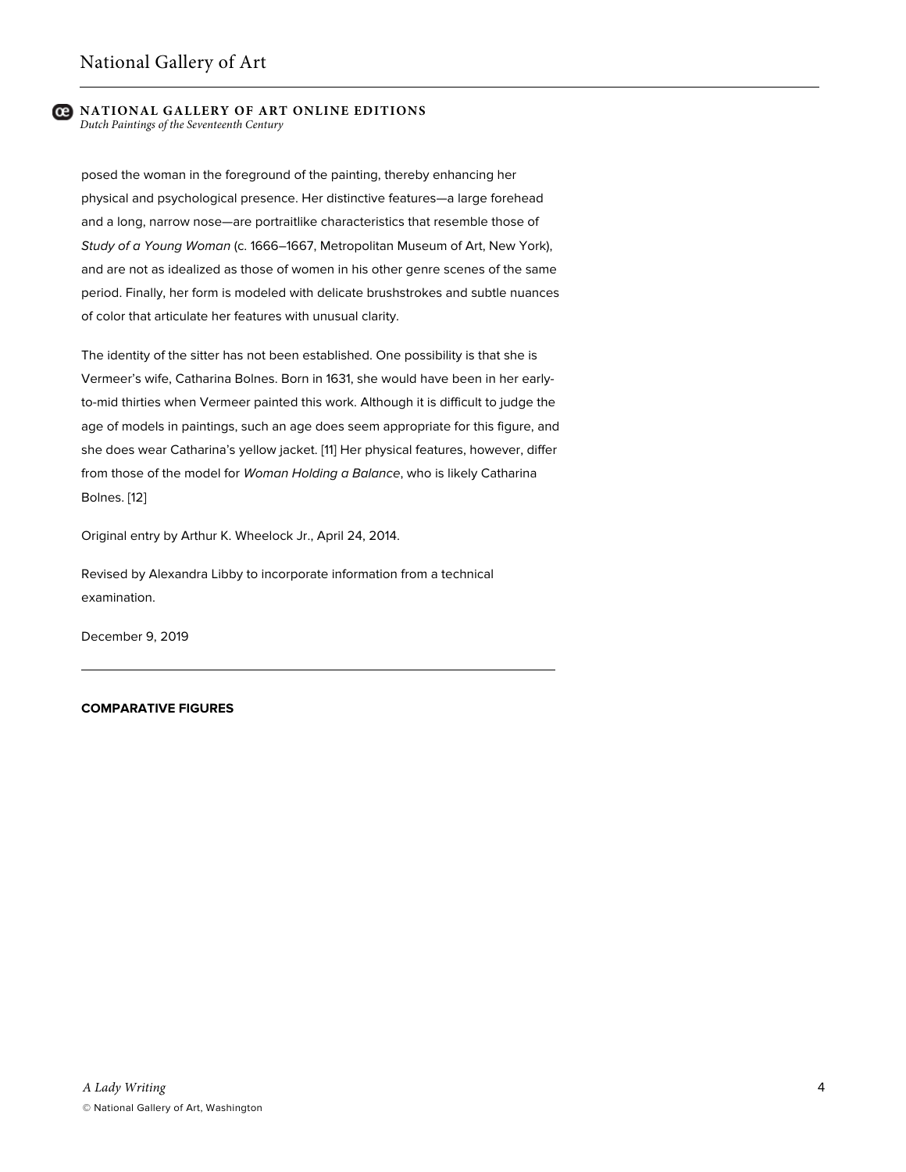*Dutch Paintings of the Seventeenth Century*

posed the woman in the foreground of the painting, thereby enhancing her physical and psychological presence. Her distinctive features—a large forehead and a long, narrow nose—are portraitlike characteristics that resemble those of *Study of a Young Woman* (c. 1666–1667, Metropolitan Museum of Art, New York), and are not as idealized as those of women in his other genre scenes of the same period. Finally, her form is modeled with delicate brushstrokes and subtle nuances of color that articulate her features with unusual clarity.

The identity of the sitter has not been established. One possibility is that she is Vermeer's wife, Catharina Bolnes. Born in 1631, she would have been in her earlyto-mid thirties when Vermeer painted this work. Although it is difficult to judge the age of models in paintings, such an age does seem appropriate for this figure, and she does wear Catharina's yellow jacket. [11] Her physical features, however, differ from those of the model for *Woman Holding a Balance*, who is likely Catharina Bolnes. [12]

Original entry by Arthur K. Wheelock Jr., April 24, 2014.

Revised by Alexandra Libby to incorporate information from a technical examination.

December 9, 2019

## **COMPARATIVE FIGURES**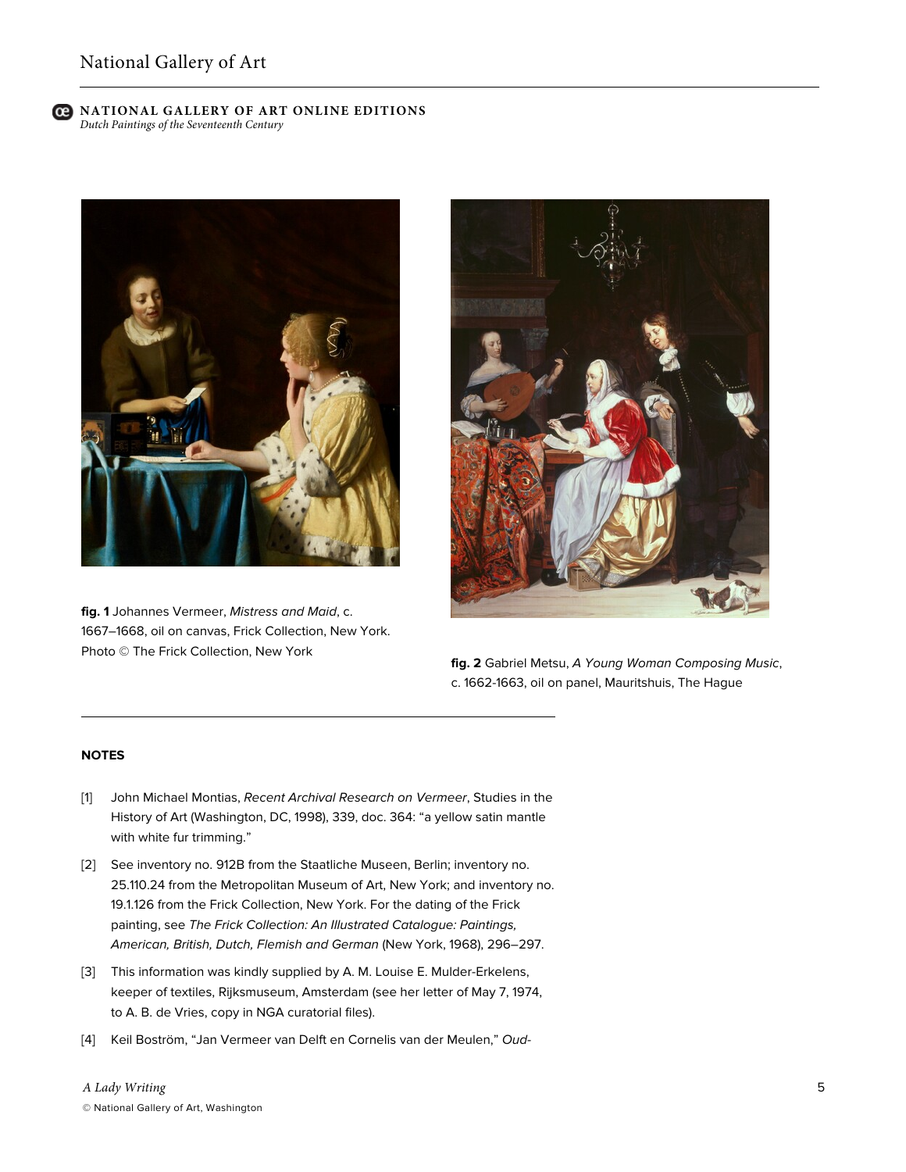

**fig. 1** Johannes Vermeer, *Mistress and Maid*, c. 1667–1668, oil on canvas, Frick Collection, New York. Photo © The Frick Collection, New York



**fig. 2** Gabriel Metsu, *A Young Woman Composing Music*, c. 1662-1663, oil on panel, Mauritshuis, The Hague

### **NOTES**

- [1] John Michael Montias, *Recent Archival Research on Vermeer*, Studies in the History of Art (Washington, DC, 1998), 339, doc. 364: "a yellow satin mantle with white fur trimming."
- [2] See inventory no. 912B from the Staatliche Museen, Berlin; inventory no. 25.110.24 from the Metropolitan Museum of Art, New York; and inventory no. 19.1.126 from the Frick Collection, New York. For the dating of the Frick painting, see *The Frick Collection: An Illustrated Catalogue: Paintings, American, British, Dutch, Flemish and German* (New York, 1968), 296–297.
- [3] This information was kindly supplied by A. M. Louise E. Mulder-Erkelens, keeper of textiles, Rijksmuseum, Amsterdam (see her letter of May 7, 1974, to A. B. de Vries, copy in NGA curatorial files).
- [4] Keil Boström, "Jan Vermeer van Delft en Cornelis van der Meulen," *Oud-*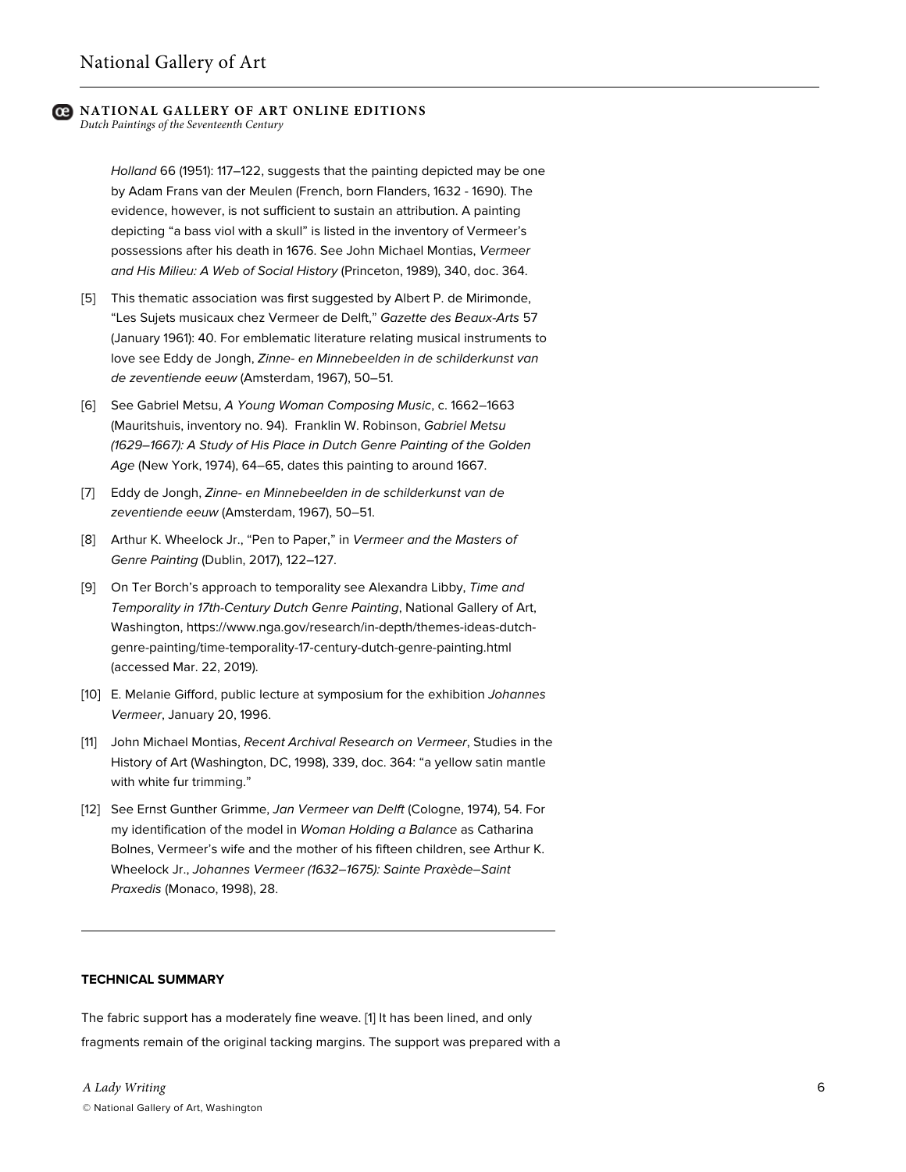*Dutch Paintings of the Seventeenth Century*

*Holland* 66 (1951): 117–122, suggests that the painting depicted may be one by Adam Frans van der Meulen (French, born Flanders, 1632 - 1690). The evidence, however, is not sufficient to sustain an attribution. A painting depicting "a bass viol with a skull" is listed in the inventory of Vermeer's possessions after his death in 1676. See John Michael Montias, *Vermeer and His Milieu: A Web of Social History* (Princeton, 1989), 340, doc. 364.

- [5] This thematic association was first suggested by Albert P. de Mirimonde, "Les Sujets musicaux chez Vermeer de Delft," *Gazette des Beaux-Arts* 57 (January 1961): 40. For emblematic literature relating musical instruments to love see Eddy de Jongh, *Zinne- en Minnebeelden in de schilderkunst van de zeventiende eeuw* (Amsterdam, 1967), 50–51.
- [6] See Gabriel Metsu, *A Young Woman Composing Music*, c. 1662–1663 (Mauritshuis, inventory no. 94). Franklin W. Robinson, *Gabriel Metsu (1629–1667): A Study of His Place in Dutch Genre Painting of the Golden Age* (New York, 1974), 64–65, dates this painting to around 1667.
- [7] Eddy de Jongh, *Zinne- en Minnebeelden in de schilderkunst van de zeventiende eeuw* (Amsterdam, 1967), 50–51.
- [8] Arthur K. Wheelock Jr., "Pen to Paper," in *Vermeer and the Masters of Genre Painting* (Dublin, 2017), 122–127.
- [9] On Ter Borch's approach to temporality see Alexandra Libby, *Time and Temporality in 17th-Century Dutch Genre Painting*, National Gallery of Art, Washington, https://www.nga.gov/research/in-depth/themes-ideas-dutchgenre-painting/time-temporality-17-century-dutch-genre-painting.html (accessed Mar. 22, 2019).
- [10] E. Melanie Gifford, public lecture at symposium for the exhibition *Johannes Vermeer*, January 20, 1996.
- [11] John Michael Montias, *Recent Archival Research on Vermeer*, Studies in the History of Art (Washington, DC, 1998), 339, doc. 364: "a yellow satin mantle with white fur trimming."
- [12] See Ernst Gunther Grimme, *Jan Vermeer van Delft* (Cologne, 1974), 54. For my identification of the model in *Woman Holding a Balance* as Catharina Bolnes, Vermeer's wife and the mother of his fifteen children, see Arthur K. Wheelock Jr., *Johannes Vermeer (1632–1675): Sainte Praxède–Saint Praxedis* (Monaco, 1998), 28.

#### **TECHNICAL SUMMARY**

The fabric support has a moderately fine weave. [1] It has been lined, and only fragments remain of the original tacking margins. The support was prepared with a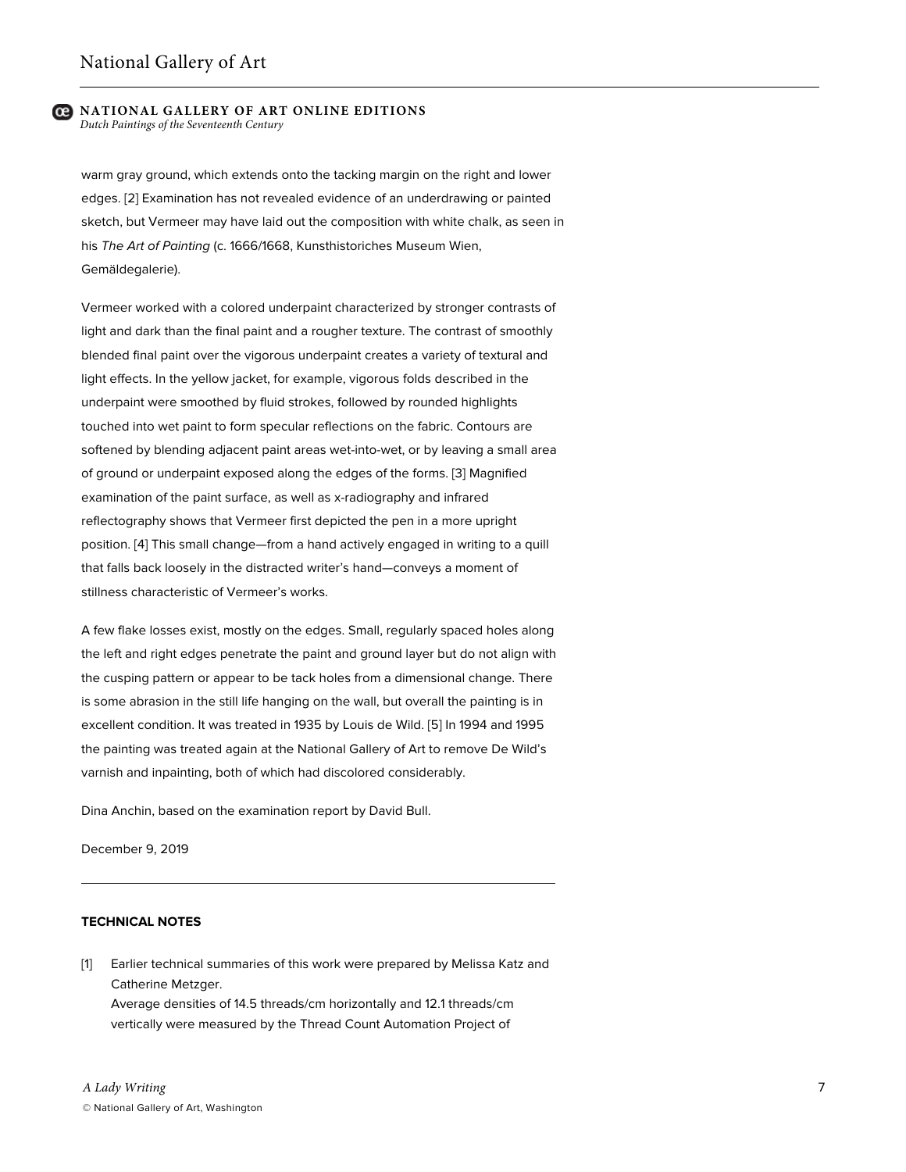warm gray ground, which extends onto the tacking margin on the right and lower edges. [2] Examination has not revealed evidence of an underdrawing or painted sketch, but Vermeer may have laid out the composition with white chalk, as seen in his *The Art of Painting* (c. 1666/1668, Kunsthistoriches Museum Wien, Gemäldegalerie).

Vermeer worked with a colored underpaint characterized by stronger contrasts of light and dark than the final paint and a rougher texture. The contrast of smoothly blended final paint over the vigorous underpaint creates a variety of textural and light effects. In the yellow jacket, for example, vigorous folds described in the underpaint were smoothed by fluid strokes, followed by rounded highlights touched into wet paint to form specular reflections on the fabric. Contours are softened by blending adjacent paint areas wet-into-wet, or by leaving a small area of ground or underpaint exposed along the edges of the forms. [3] Magnified examination of the paint surface, as well as x-radiography and infrared reflectography shows that Vermeer first depicted the pen in a more upright position. [4] This small change—from a hand actively engaged in writing to a quill that falls back loosely in the distracted writer's hand—conveys a moment of stillness characteristic of Vermeer's works.

A few flake losses exist, mostly on the edges. Small, regularly spaced holes along the left and right edges penetrate the paint and ground layer but do not align with the cusping pattern or appear to be tack holes from a dimensional change. There is some abrasion in the still life hanging on the wall, but overall the painting is in excellent condition. It was treated in 1935 by Louis de Wild. [5] In 1994 and 1995 the painting was treated again at the National Gallery of Art to remove De Wild's varnish and inpainting, both of which had discolored considerably.

Dina Anchin, based on the examination report by David Bull.

December 9, 2019

#### **TECHNICAL NOTES**

[1] Earlier technical summaries of this work were prepared by Melissa Katz and Catherine Metzger. Average densities of 14.5 threads/cm horizontally and 12.1 threads/cm vertically were measured by the Thread Count Automation Project of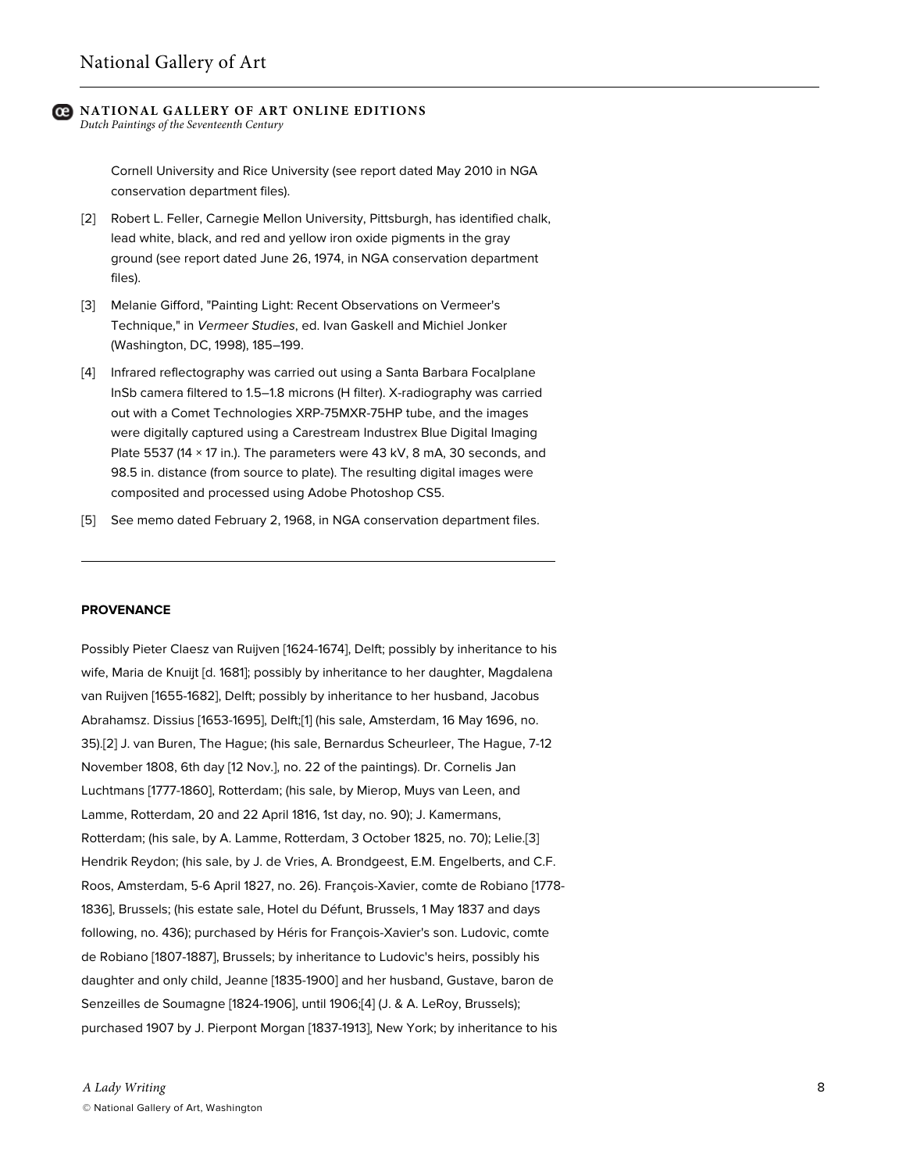*Dutch Paintings of the Seventeenth Century*

Cornell University and Rice University (see report dated May 2010 in NGA conservation department files).

- [2] Robert L. Feller, Carnegie Mellon University, Pittsburgh, has identified chalk, lead white, black, and red and yellow iron oxide pigments in the gray ground (see report dated June 26, 1974, in NGA conservation department files).
- [3] Melanie Gifford, "Painting Light: Recent Observations on Vermeer's Technique," in *Vermeer Studies*, ed. Ivan Gaskell and Michiel Jonker (Washington, DC, 1998), 185–199.
- [4] Infrared reflectography was carried out using a Santa Barbara Focalplane InSb camera filtered to 1.5–1.8 microns (H filter). X-radiography was carried out with a Comet Technologies XRP-75MXR-75HP tube, and the images were digitally captured using a Carestream Industrex Blue Digital Imaging Plate 5537 (14 × 17 in.). The parameters were 43 kV, 8 mA, 30 seconds, and 98.5 in. distance (from source to plate). The resulting digital images were composited and processed using Adobe Photoshop CS5.
- [5] See memo dated February 2, 1968, in NGA conservation department files.

#### **PROVENANCE**

Possibly Pieter Claesz van Ruijven [1624-1674], Delft; possibly by inheritance to his wife, Maria de Knuijt [d. 1681]; possibly by inheritance to her daughter, Magdalena van Ruijven [1655-1682], Delft; possibly by inheritance to her husband, Jacobus Abrahamsz. Dissius [1653-1695], Delft;[1] (his sale, Amsterdam, 16 May 1696, no. 35).[2] J. van Buren, The Hague; (his sale, Bernardus Scheurleer, The Hague, 7-12 November 1808, 6th day [12 Nov.], no. 22 of the paintings). Dr. Cornelis Jan Luchtmans [1777-1860], Rotterdam; (his sale, by Mierop, Muys van Leen, and Lamme, Rotterdam, 20 and 22 April 1816, 1st day, no. 90); J. Kamermans, Rotterdam; (his sale, by A. Lamme, Rotterdam, 3 October 1825, no. 70); Lelie.[3] Hendrik Reydon; (his sale, by J. de Vries, A. Brondgeest, E.M. Engelberts, and C.F. Roos, Amsterdam, 5-6 April 1827, no. 26). François-Xavier, comte de Robiano [1778- 1836], Brussels; (his estate sale, Hotel du Défunt, Brussels, 1 May 1837 and days following, no. 436); purchased by Héris for François-Xavier's son. Ludovic, comte de Robiano [1807-1887], Brussels; by inheritance to Ludovic's heirs, possibly his daughter and only child, Jeanne [1835-1900] and her husband, Gustave, baron de Senzeilles de Soumagne [1824-1906], until 1906;[4] (J. & A. LeRoy, Brussels); purchased 1907 by J. Pierpont Morgan [1837-1913], New York; by inheritance to his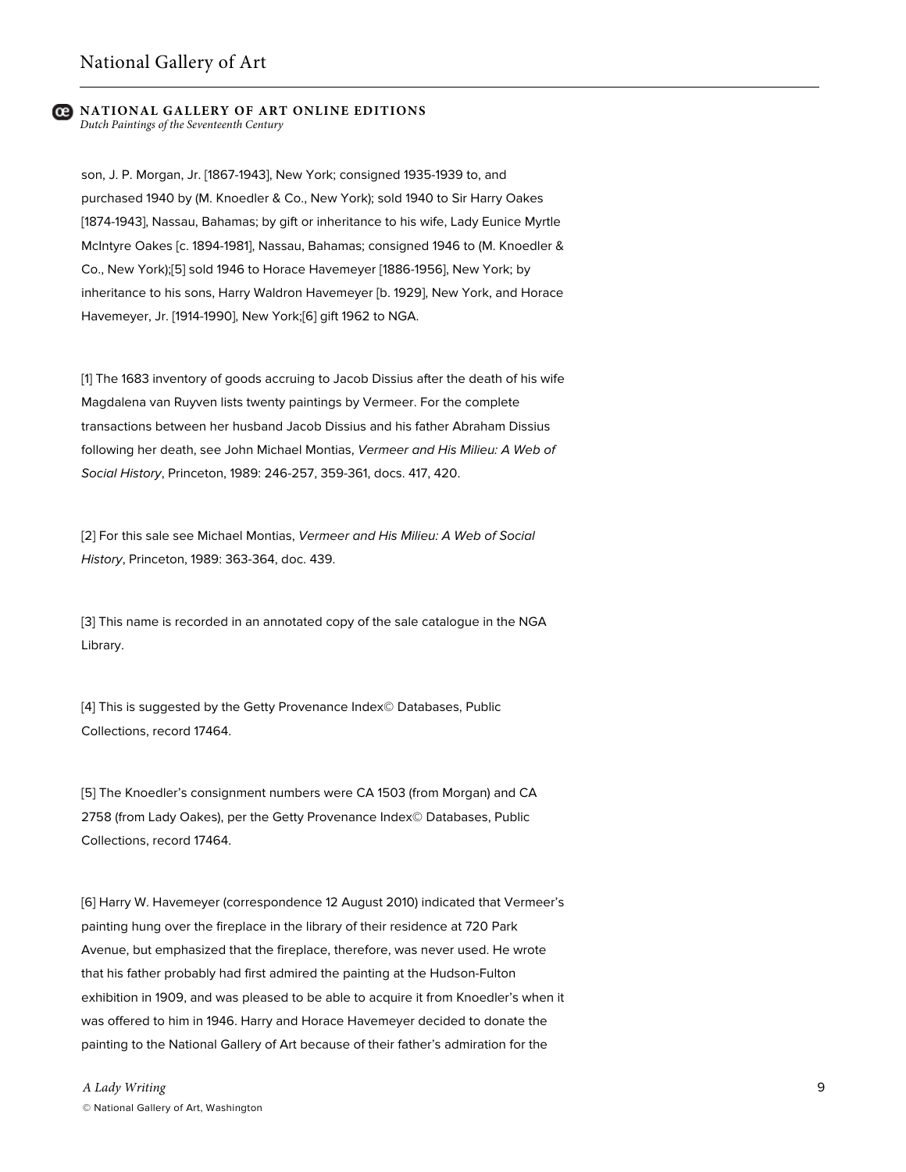son, J. P. Morgan, Jr. [1867-1943], New York; consigned 1935-1939 to, and purchased 1940 by (M. Knoedler & Co., New York); sold 1940 to Sir Harry Oakes [1874-1943], Nassau, Bahamas; by gift or inheritance to his wife, Lady Eunice Myrtle McIntyre Oakes [c. 1894-1981], Nassau, Bahamas; consigned 1946 to (M. Knoedler & Co., New York);[5] sold 1946 to Horace Havemeyer [1886-1956], New York; by inheritance to his sons, Harry Waldron Havemeyer [b. 1929], New York, and Horace Havemeyer, Jr. [1914-1990], New York;[6] gift 1962 to NGA.

[1] The 1683 inventory of goods accruing to Jacob Dissius after the death of his wife Magdalena van Ruyven lists twenty paintings by Vermeer. For the complete transactions between her husband Jacob Dissius and his father Abraham Dissius following her death, see John Michael Montias, *Vermeer and His Milieu: A Web of Social History*, Princeton, 1989: 246-257, 359-361, docs. 417, 420.

[2] For this sale see Michael Montias, *Vermeer and His Milieu: A Web of Social History*, Princeton, 1989: 363-364, doc. 439.

[3] This name is recorded in an annotated copy of the sale catalogue in the NGA Library.

[4] This is suggested by the Getty Provenance Index© Databases, Public Collections, record 17464.

[5] The Knoedler's consignment numbers were CA 1503 (from Morgan) and CA 2758 (from Lady Oakes), per the Getty Provenance Index© Databases, Public Collections, record 17464.

[6] Harry W. Havemeyer (correspondence 12 August 2010) indicated that Vermeer's painting hung over the fireplace in the library of their residence at 720 Park Avenue, but emphasized that the fireplace, therefore, was never used. He wrote that his father probably had first admired the painting at the Hudson-Fulton exhibition in 1909, and was pleased to be able to acquire it from Knoedler's when it was offered to him in 1946. Harry and Horace Havemeyer decided to donate the painting to the National Gallery of Art because of their father's admiration for the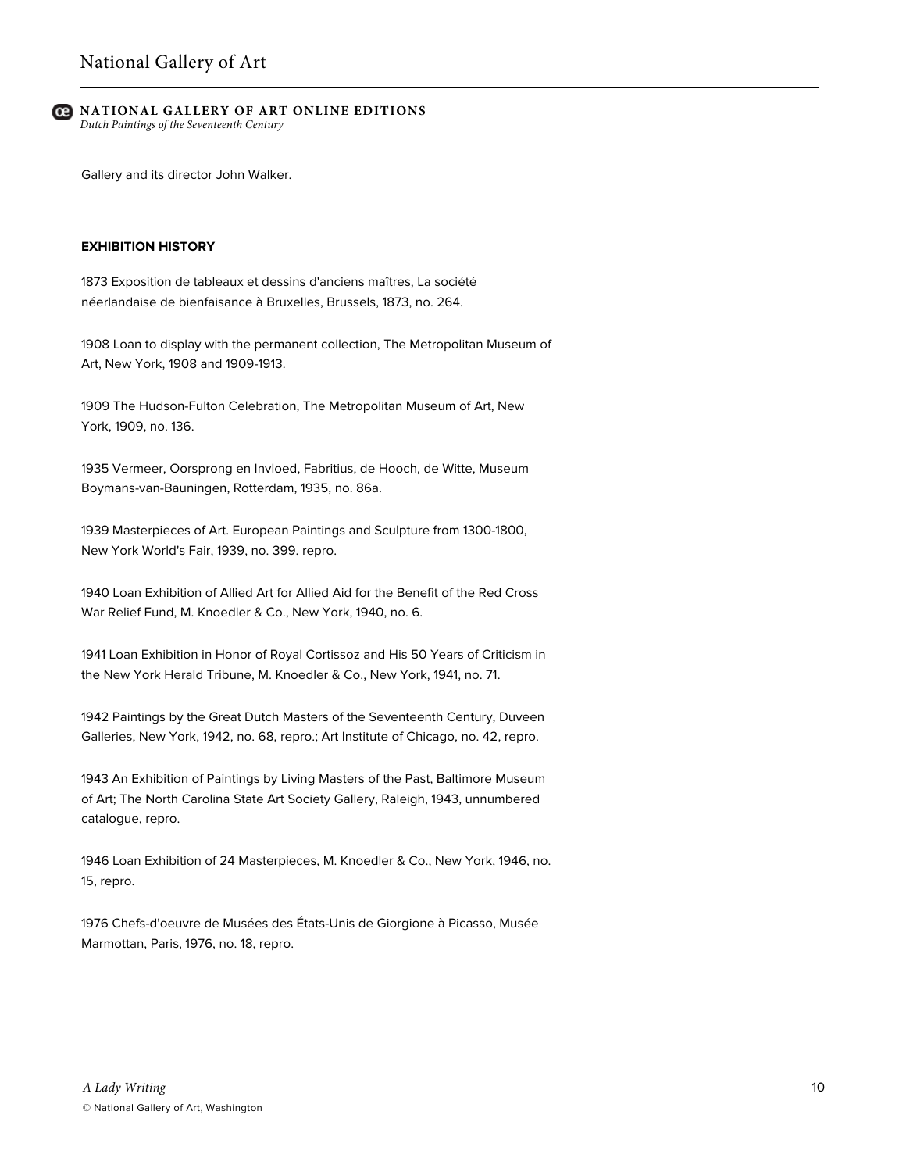Gallery and its director John Walker.

#### **EXHIBITION HISTORY**

1873 Exposition de tableaux et dessins d'anciens maîtres, La société néerlandaise de bienfaisance à Bruxelles, Brussels, 1873, no. 264.

1908 Loan to display with the permanent collection, The Metropolitan Museum of Art, New York, 1908 and 1909-1913.

1909 The Hudson-Fulton Celebration, The Metropolitan Museum of Art, New York, 1909, no. 136.

1935 Vermeer, Oorsprong en Invloed, Fabritius, de Hooch, de Witte, Museum Boymans-van-Bauningen, Rotterdam, 1935, no. 86a.

1939 Masterpieces of Art. European Paintings and Sculpture from 1300-1800, New York World's Fair, 1939, no. 399. repro.

1940 Loan Exhibition of Allied Art for Allied Aid for the Benefit of the Red Cross War Relief Fund, M. Knoedler & Co., New York, 1940, no. 6.

1941 Loan Exhibition in Honor of Royal Cortissoz and His 50 Years of Criticism in the New York Herald Tribune, M. Knoedler & Co., New York, 1941, no. 71.

1942 Paintings by the Great Dutch Masters of the Seventeenth Century, Duveen Galleries, New York, 1942, no. 68, repro.; Art Institute of Chicago, no. 42, repro.

1943 An Exhibition of Paintings by Living Masters of the Past, Baltimore Museum of Art; The North Carolina State Art Society Gallery, Raleigh, 1943, unnumbered catalogue, repro.

1946 Loan Exhibition of 24 Masterpieces, M. Knoedler & Co., New York, 1946, no. 15, repro.

1976 Chefs-d'oeuvre de Musées des États-Unis de Giorgione à Picasso, Musée Marmottan, Paris, 1976, no. 18, repro.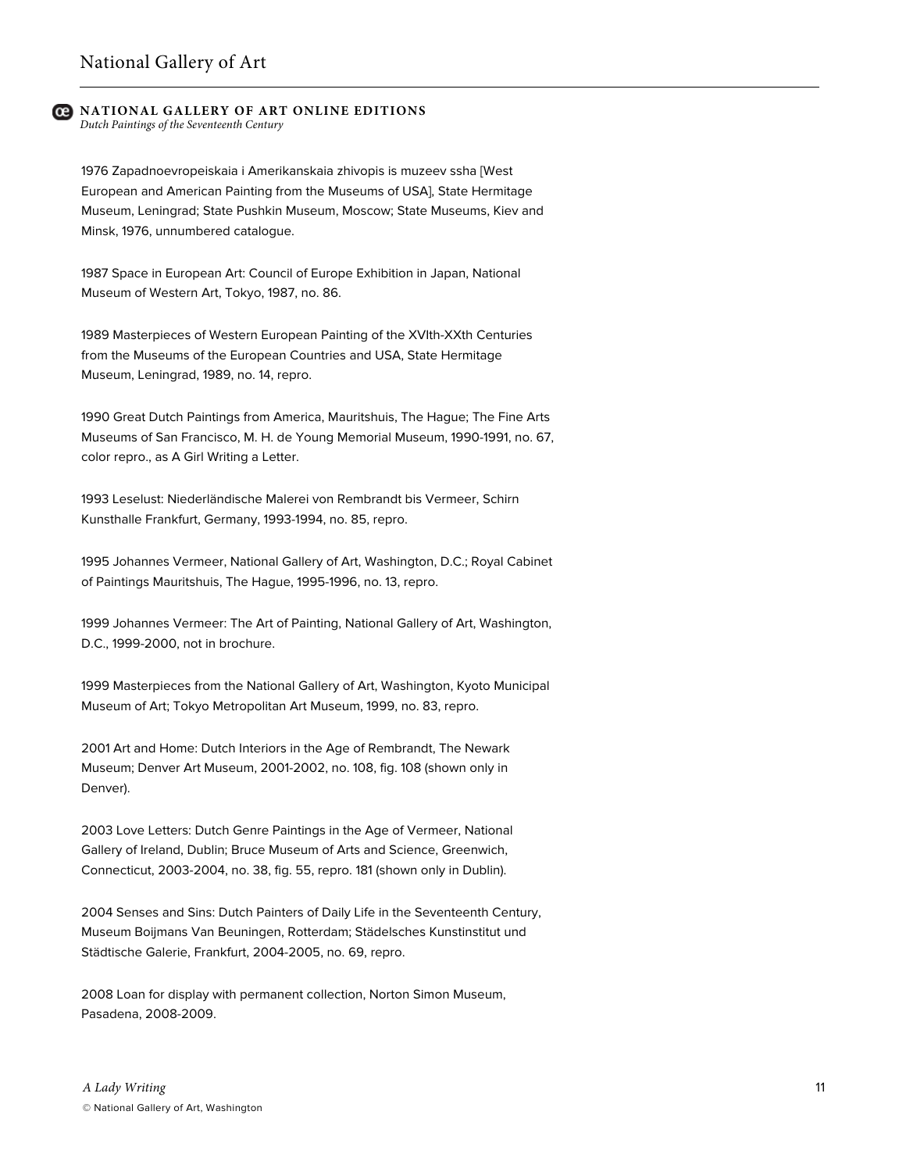*Dutch Paintings of the Seventeenth Century*

1976 Zapadnoevropeiskaia i Amerikanskaia zhivopis is muzeev ssha [West European and American Painting from the Museums of USA], State Hermitage Museum, Leningrad; State Pushkin Museum, Moscow; State Museums, Kiev and Minsk, 1976, unnumbered catalogue.

1987 Space in European Art: Council of Europe Exhibition in Japan, National Museum of Western Art, Tokyo, 1987, no. 86.

1989 Masterpieces of Western European Painting of the XVIth-XXth Centuries from the Museums of the European Countries and USA, State Hermitage Museum, Leningrad, 1989, no. 14, repro.

1990 Great Dutch Paintings from America, Mauritshuis, The Hague; The Fine Arts Museums of San Francisco, M. H. de Young Memorial Museum, 1990-1991, no. 67, color repro., as A Girl Writing a Letter.

1993 Leselust: Niederländische Malerei von Rembrandt bis Vermeer, Schirn Kunsthalle Frankfurt, Germany, 1993-1994, no. 85, repro.

1995 Johannes Vermeer, National Gallery of Art, Washington, D.C.; Royal Cabinet of Paintings Mauritshuis, The Hague, 1995-1996, no. 13, repro.

1999 Johannes Vermeer: The Art of Painting, National Gallery of Art, Washington, D.C., 1999-2000, not in brochure.

1999 Masterpieces from the National Gallery of Art, Washington, Kyoto Municipal Museum of Art; Tokyo Metropolitan Art Museum, 1999, no. 83, repro.

2001 Art and Home: Dutch Interiors in the Age of Rembrandt, The Newark Museum; Denver Art Museum, 2001-2002, no. 108, fig. 108 (shown only in Denver).

2003 Love Letters: Dutch Genre Paintings in the Age of Vermeer, National Gallery of Ireland, Dublin; Bruce Museum of Arts and Science, Greenwich, Connecticut, 2003-2004, no. 38, fig. 55, repro. 181 (shown only in Dublin).

2004 Senses and Sins: Dutch Painters of Daily Life in the Seventeenth Century, Museum Boijmans Van Beuningen, Rotterdam; Städelsches Kunstinstitut und Städtische Galerie, Frankfurt, 2004-2005, no. 69, repro.

2008 Loan for display with permanent collection, Norton Simon Museum, Pasadena, 2008-2009.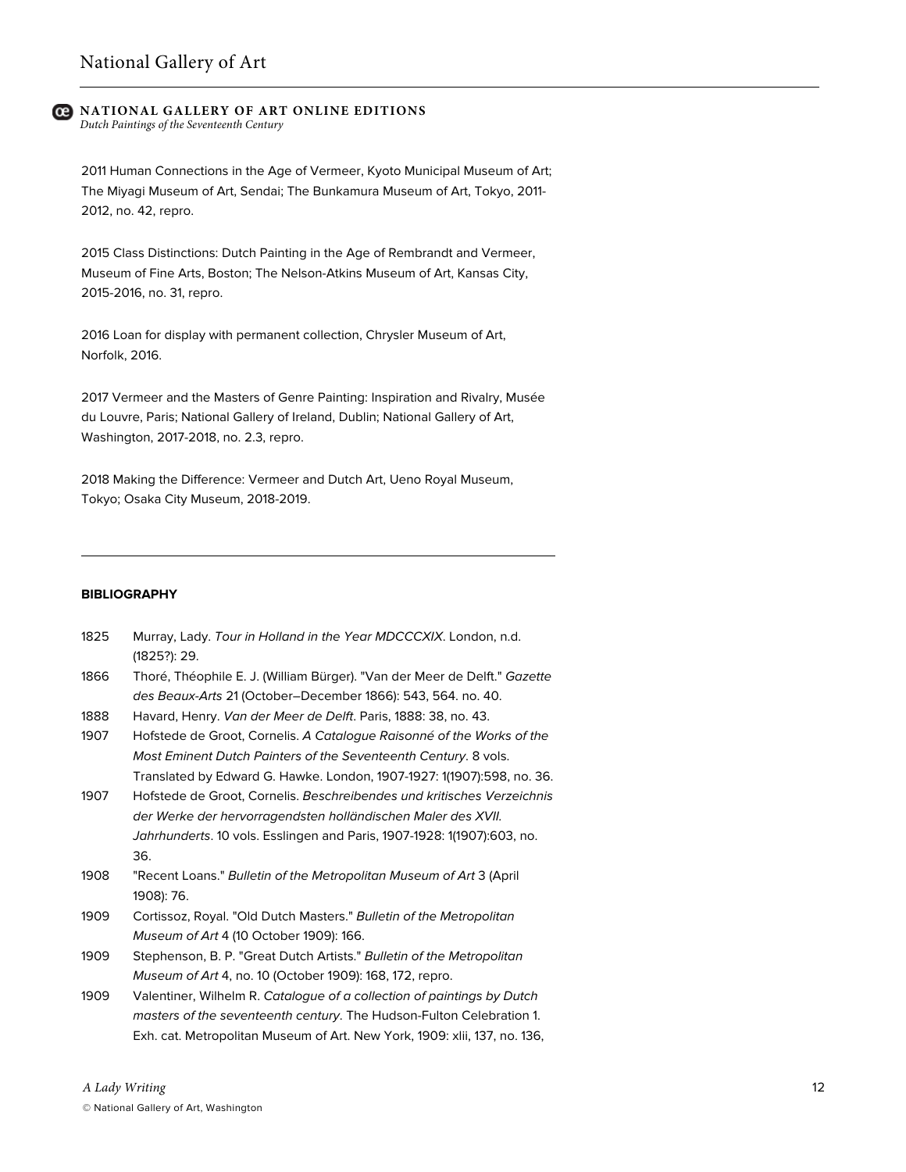*Dutch Paintings of the Seventeenth Century*

2011 Human Connections in the Age of Vermeer, Kyoto Municipal Museum of Art; The Miyagi Museum of Art, Sendai; The Bunkamura Museum of Art, Tokyo, 2011- 2012, no. 42, repro.

2015 Class Distinctions: Dutch Painting in the Age of Rembrandt and Vermeer, Museum of Fine Arts, Boston; The Nelson-Atkins Museum of Art, Kansas City, 2015-2016, no. 31, repro.

2016 Loan for display with permanent collection, Chrysler Museum of Art, Norfolk, 2016.

2017 Vermeer and the Masters of Genre Painting: Inspiration and Rivalry, Musée du Louvre, Paris; National Gallery of Ireland, Dublin; National Gallery of Art, Washington, 2017-2018, no. 2.3, repro.

2018 Making the Difference: Vermeer and Dutch Art, Ueno Royal Museum, Tokyo; Osaka City Museum, 2018-2019.

### **BIBLIOGRAPHY**

| 1825 | Murray, Lady. Tour in Holland in the Year MDCCCXIX. London, n.d. |
|------|------------------------------------------------------------------|
|      | (1825?): 29.                                                     |

- 1866 Thoré, Théophile E. J. (William Bürger). "Van der Meer de Delft." *Gazette des Beaux-Arts* 21 (October–December 1866): 543, 564. no. 40.
- 1888 Havard, Henry. *Van der Meer de Delft*. Paris, 1888: 38, no. 43.
- 1907 Hofstede de Groot, Cornelis. *A Catalogue Raisonné of the Works of the Most Eminent Dutch Painters of the Seventeenth Century*. 8 vols. Translated by Edward G. Hawke. London, 1907-1927: 1(1907):598, no. 36.
- 1907 Hofstede de Groot, Cornelis. *Beschreibendes und kritisches Verzeichnis der Werke der hervorragendsten holländischen Maler des XVII. Jahrhunderts*. 10 vols. Esslingen and Paris, 1907-1928: 1(1907):603, no. 36.
- 1908 "Recent Loans." *Bulletin of the Metropolitan Museum of Art* 3 (April 1908): 76.
- 1909 Cortissoz, Royal. "Old Dutch Masters." *Bulletin of the Metropolitan Museum of Art* 4 (10 October 1909): 166.
- 1909 Stephenson, B. P. "Great Dutch Artists." *Bulletin of the Metropolitan Museum of Art* 4, no. 10 (October 1909): 168, 172, repro.
- 1909 Valentiner, Wilhelm R. *Catalogue of a collection of paintings by Dutch masters of the seventeenth century*. The Hudson-Fulton Celebration 1. Exh. cat. Metropolitan Museum of Art. New York, 1909: xlii, 137, no. 136,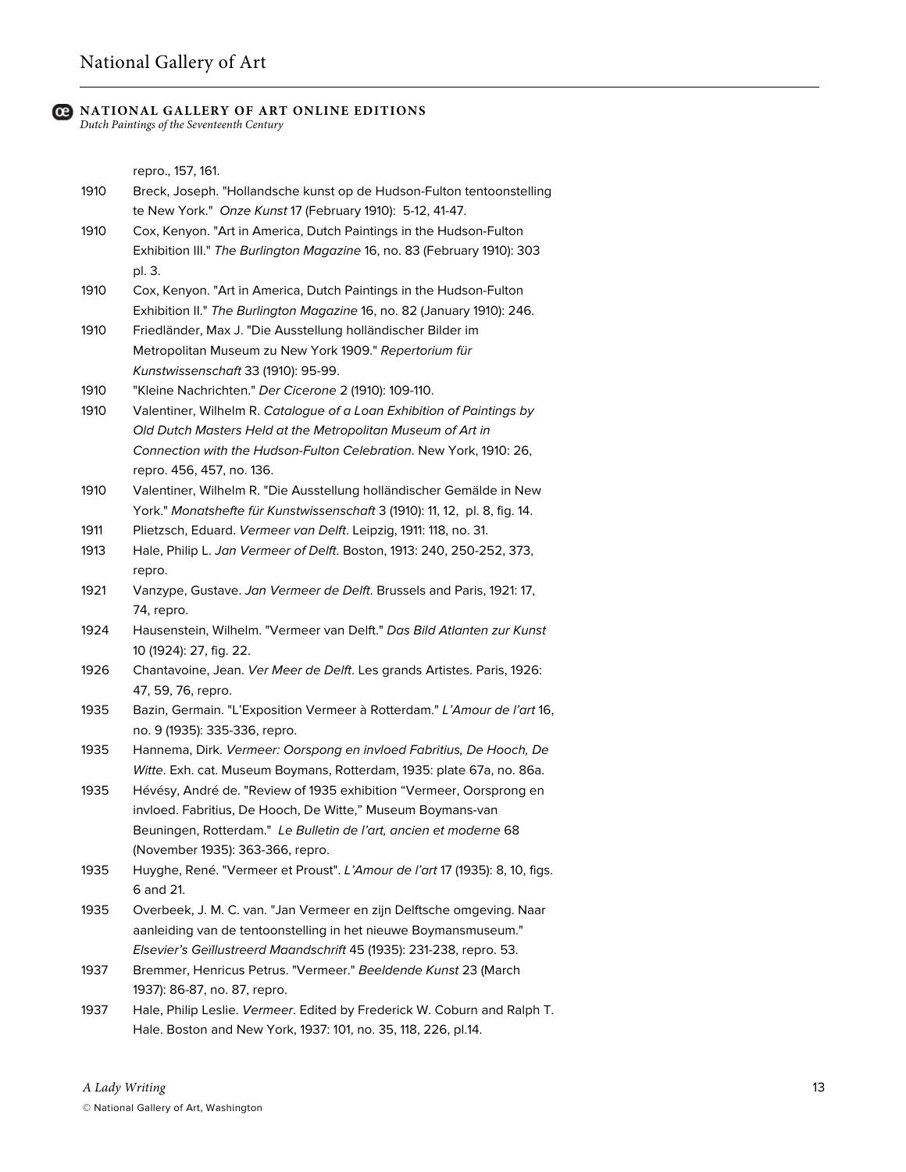*Dutch Paintings of the Seventeenth Century*

repro., 157, 161.

- 1910 Breck, Joseph. "Hollandsche kunst op de Hudson-Fulton tentoonstelling te New York." *Onze Kunst* 17 (February 1910): 5-12, 41-47.
- 1910 Cox, Kenyon. "Art in America, Dutch Paintings in the Hudson-Fulton Exhibition III." *The Burlington Magazine* 16, no. 83 (February 1910): 303 pl. 3.
- 1910 Cox, Kenyon. "Art in America, Dutch Paintings in the Hudson-Fulton Exhibition II." *The Burlington Magazine* 16, no. 82 (January 1910): 246.
- 1910 Friedländer, Max J. "Die Ausstellung holländischer Bilder im Metropolitan Museum zu New York 1909." *Repertorium für Kunstwissenschaft* 33 (1910): 95-99.
- 1910 "Kleine Nachrichten." *Der Cicerone* 2 (1910): 109-110.
- 1910 Valentiner, Wilhelm R. *Catalogue of a Loan Exhibition of Paintings by Old Dutch Masters Held at the Metropolitan Museum of Art in Connection with the Hudson-Fulton Celebration*. New York, 1910: 26, repro. 456, 457, no. 136.
- 1910 Valentiner, Wilhelm R. "Die Ausstellung holländischer Gemälde in New York." *Monatshefte für Kunstwissenschaft* 3 (1910): 11, 12, pl. 8, fig. 14.
- 1911 Plietzsch, Eduard. *Vermeer van Delft*. Leipzig, 1911: 118, no. 31.
- 1913 Hale, Philip L. *Jan Vermeer of Delft*. Boston, 1913: 240, 250-252, 373, repro.
- 1921 Vanzype, Gustave. *Jan Vermeer de Delft*. Brussels and Paris, 1921: 17, 74, repro.
- 1924 Hausenstein, Wilhelm. "Vermeer van Delft." *Das Bild Atlanten zur Kunst* 10 (1924): 27, fig. 22.
- 1926 Chantavoine, Jean. *Ver Meer de Delft*. Les grands Artistes. Paris, 1926: 47, 59, 76, repro.
- 1935 Bazin, Germain. "L'Exposition Vermeer à Rotterdam." *L'Amour de l'art* 16, no. 9 (1935): 335-336, repro.
- 1935 Hannema, Dirk. *Vermeer: Oorspong en invloed Fabritius, De Hooch, De Witte*. Exh. cat. Museum Boymans, Rotterdam, 1935: plate 67a, no. 86a.
- 1935 Hévésy, André de. "Review of 1935 exhibition "Vermeer, Oorsprong en invloed. Fabritius, De Hooch, De Witte," Museum Boymans-van Beuningen, Rotterdam." *Le Bulletin de l'art, ancien et moderne* 68 (November 1935): 363-366, repro.
- 1935 Huyghe, René. "Vermeer et Proust". *L'Amour de l'art* 17 (1935): 8, 10, figs. 6 and 21.
- 1935 Overbeek, J. M. C. van. "Jan Vermeer en zijn Delftsche omgeving. Naar aanleiding van de tentoonstelling in het nieuwe Boymansmuseum." *Elsevier's Geïllustreerd Maandschrift* 45 (1935): 231-238, repro. 53.
- 1937 Bremmer, Henricus Petrus. "Vermeer." *Beeldende Kunst* 23 (March 1937): 86-87, no. 87, repro.
- 1937 Hale, Philip Leslie. *Vermeer*. Edited by Frederick W. Coburn and Ralph T. Hale. Boston and New York, 1937: 101, no. 35, 118, 226, pl.14.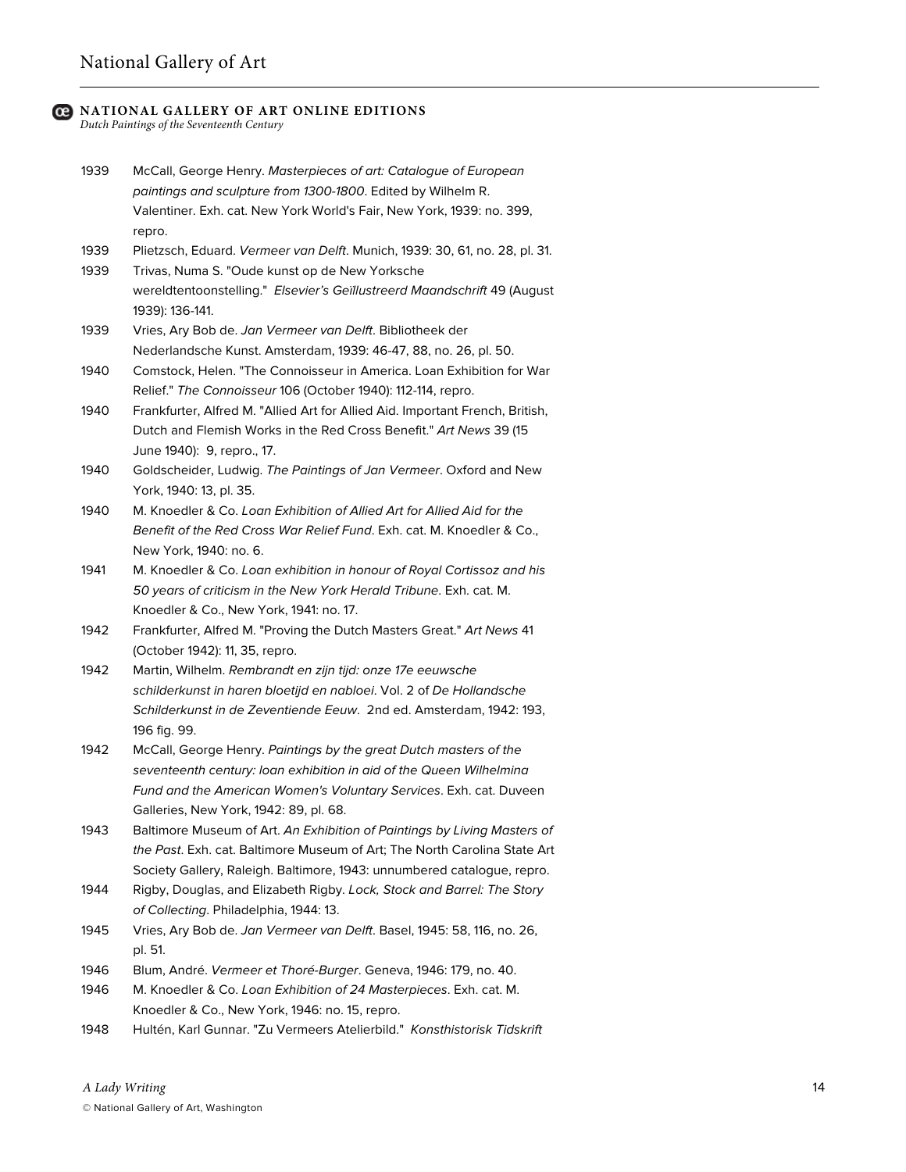*Dutch Paintings of the Seventeenth Century*

- 1939 McCall, George Henry. *Masterpieces of art: Catalogue of European paintings and sculpture from 1300-1800*. Edited by Wilhelm R. Valentiner. Exh. cat. New York World's Fair, New York, 1939: no. 399, repro.
- 1939 Plietzsch, Eduard. *Vermeer van Delft*. Munich, 1939: 30, 61, no. 28, pl. 31.
- 1939 Trivas, Numa S. "Oude kunst op de New Yorksche wereldtentoonstelling." *Elsevier's Geïllustreerd Maandschrift* 49 (August 1939): 136-141.
- 1939 Vries, Ary Bob de. *Jan Vermeer van Delft*. Bibliotheek der Nederlandsche Kunst. Amsterdam, 1939: 46-47, 88, no. 26, pl. 50.
- 1940 Comstock, Helen. "The Connoisseur in America. Loan Exhibition for War Relief." *The Connoisseur* 106 (October 1940): 112-114, repro.
- 1940 Frankfurter, Alfred M. "Allied Art for Allied Aid. Important French, British, Dutch and Flemish Works in the Red Cross Benefit." *Art News* 39 (15 June 1940): 9, repro., 17.
- 1940 Goldscheider, Ludwig. *The Paintings of Jan Vermeer*. Oxford and New York, 1940: 13, pl. 35.
- 1940 M. Knoedler & Co. *Loan Exhibition of Allied Art for Allied Aid for the Benefit of the Red Cross War Relief Fund*. Exh. cat. M. Knoedler & Co., New York, 1940: no. 6.
- 1941 M. Knoedler & Co. *Loan exhibition in honour of Royal Cortissoz and his 50 years of criticism in the New York Herald Tribune*. Exh. cat. M. Knoedler & Co., New York, 1941: no. 17.
- 1942 Frankfurter, Alfred M. "Proving the Dutch Masters Great." *Art News* 41 (October 1942): 11, 35, repro.
- 1942 Martin, Wilhelm. *Rembrandt en zijn tijd: onze 17e eeuwsche schilderkunst in haren bloetijd en nabloei*. Vol. 2 of *De Hollandsche Schilderkunst in de Zeventiende Eeuw*. 2nd ed. Amsterdam, 1942: 193, 196 fig. 99.
- 1942 McCall, George Henry. *Paintings by the great Dutch masters of the seventeenth century: loan exhibition in aid of the Queen Wilhelmina Fund and the American Women's Voluntary Services*. Exh. cat. Duveen Galleries, New York, 1942: 89, pl. 68.
- 1943 Baltimore Museum of Art. *An Exhibition of Paintings by Living Masters of the Past*. Exh. cat. Baltimore Museum of Art; The North Carolina State Art Society Gallery, Raleigh. Baltimore, 1943: unnumbered catalogue, repro.
- 1944 Rigby, Douglas, and Elizabeth Rigby. *Lock, Stock and Barrel: The Story of Collecting*. Philadelphia, 1944: 13.
- 1945 Vries, Ary Bob de. *Jan Vermeer van Delft*. Basel, 1945: 58, 116, no. 26, pl. 51.
- 1946 Blum, André. *Vermeer et Thoré-Burger*. Geneva, 1946: 179, no. 40.
- 1946 M. Knoedler & Co. *Loan Exhibition of 24 Masterpieces*. Exh. cat. M. Knoedler & Co., New York, 1946: no. 15, repro.
- 1948 Hultén, Karl Gunnar. "Zu Vermeers Atelierbild." *Konsthistorisk Tidskrift*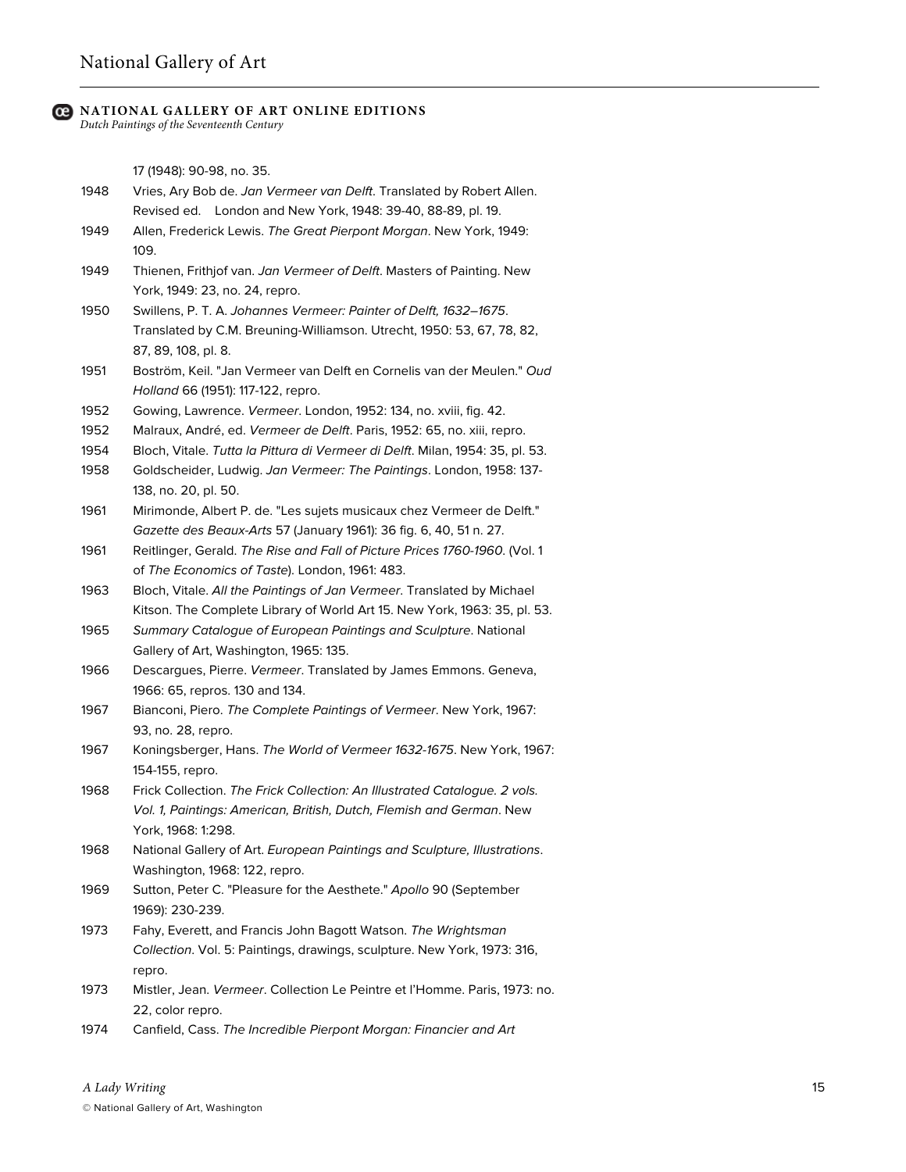*Dutch Paintings of the Seventeenth Century*

17 (1948): 90-98, no. 35.

- 1948 Vries, Ary Bob de. *Jan Vermeer van Delft*. Translated by Robert Allen. Revised ed. London and New York, 1948: 39-40, 88-89, pl. 19.
- 1949 Allen, Frederick Lewis. *The Great Pierpont Morgan*. New York, 1949: 109.
- 1949 Thienen, Frithjof van. *Jan Vermeer of Delft*. Masters of Painting. New York, 1949: 23, no. 24, repro.
- 1950 Swillens, P. T. A. *Johannes Vermeer: Painter of Delft, 1632–1675*. Translated by C.M. Breuning-Williamson. Utrecht, 1950: 53, 67, 78, 82, 87, 89, 108, pl. 8.
- 1951 Boström, Keil. "Jan Vermeer van Delft en Cornelis van der Meulen." *Oud Holland* 66 (1951): 117-122, repro.
- 1952 Gowing, Lawrence. *Vermeer*. London, 1952: 134, no. xviii, fig. 42.
- 1952 Malraux, André, ed. *Vermeer de Delft*. Paris, 1952: 65, no. xiii, repro.
- 1954 Bloch, Vitale. *Tutta la Pittura di Vermeer di Delft*. Milan, 1954: 35, pl. 53.
- 1958 Goldscheider, Ludwig. *Jan Vermeer: The Paintings*. London, 1958: 137- 138, no. 20, pl. 50.
- 1961 Mirimonde, Albert P. de. "Les sujets musicaux chez Vermeer de Delft." *Gazette des Beaux-Arts* 57 (January 1961): 36 fig. 6, 40, 51 n. 27.
- 1961 Reitlinger, Gerald. *The Rise and Fall of Picture Prices 1760-1960*. (Vol. 1 of *The Economics of Taste*). London, 1961: 483.
- 1963 Bloch, Vitale. *All the Paintings of Jan Vermeer*. Translated by Michael Kitson. The Complete Library of World Art 15. New York, 1963: 35, pl. 53.
- 1965 *Summary Catalogue of European Paintings and Sculpture*. National Gallery of Art, Washington, 1965: 135.
- 1966 Descargues, Pierre. *Vermeer*. Translated by James Emmons. Geneva, 1966: 65, repros. 130 and 134.
- 1967 Bianconi, Piero. *The Complete Paintings of Vermeer*. New York, 1967: 93, no. 28, repro.
- 1967 Koningsberger, Hans. *The World of Vermeer 1632-1675*. New York, 1967: 154-155, repro.
- 1968 Frick Collection. *The Frick Collection: An Illustrated Catalogue. 2 vols. Vol. 1, Paintings: American, British, Dutch, Flemish and German*. New York, 1968: 1:298.
- 1968 National Gallery of Art. *European Paintings and Sculpture, Illustrations*. Washington, 1968: 122, repro.
- 1969 Sutton, Peter C. "Pleasure for the Aesthete." *Apollo* 90 (September 1969): 230-239.
- 1973 Fahy, Everett, and Francis John Bagott Watson. *The Wrightsman Collection*. Vol. 5: Paintings, drawings, sculpture. New York, 1973: 316, repro.
- 1973 Mistler, Jean. *Vermeer*. Collection Le Peintre et l'Homme. Paris, 1973: no. 22, color repro.
- 1974 Canfield, Cass. *The Incredible Pierpont Morgan: Financier and Art*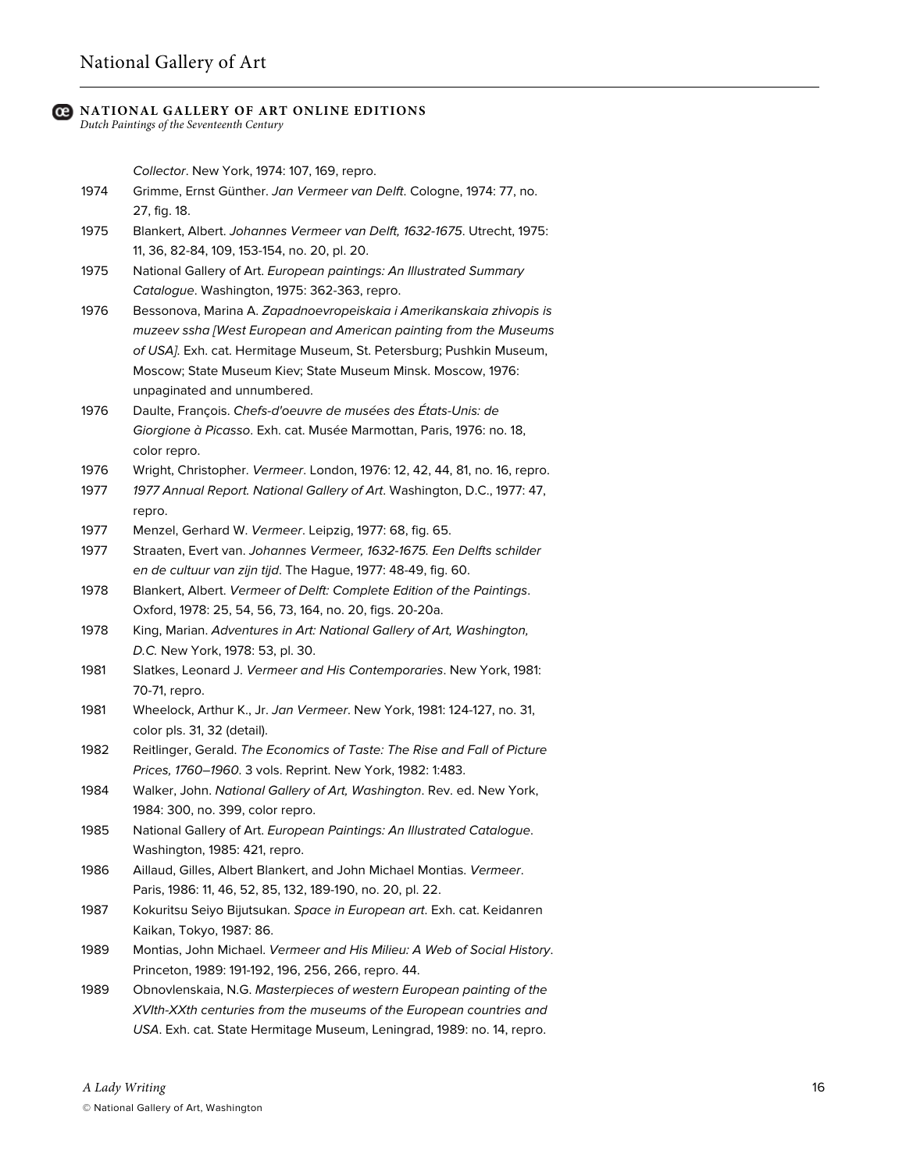## National Gallery of Art

### **NATIONAL GALLERY OF ART ONLINE EDITIONS**

*Dutch Paintings of the Seventeenth Century*

*Collector*. New York, 1974: 107, 169, repro.

- 1974 Grimme, Ernst Günther. *Jan Vermeer van Delft*. Cologne, 1974: 77, no. 27, fig. 18.
- 1975 Blankert, Albert. *Johannes Vermeer van Delft, 1632-1675*. Utrecht, 1975: 11, 36, 82-84, 109, 153-154, no. 20, pl. 20.
- 1975 National Gallery of Art. *European paintings: An Illustrated Summary Catalogue*. Washington, 1975: 362-363, repro.
- 1976 Bessonova, Marina A. *Zapadnoevropeiskaia i Amerikanskaia zhivopis is muzeev ssha [West European and American painting from the Museums of USA]*. Exh. cat. Hermitage Museum, St. Petersburg; Pushkin Museum, Moscow; State Museum Kiev; State Museum Minsk. Moscow, 1976: unpaginated and unnumbered.
- 1976 Daulte, François. *Chefs-d'oeuvre de musées des États-Unis: de Giorgione à Picasso*. Exh. cat. Musée Marmottan, Paris, 1976: no. 18, color repro.
- 1976 Wright, Christopher. *Vermeer*. London, 1976: 12, 42, 44, 81, no. 16, repro.
- 1977 *1977 Annual Report. National Gallery of Art*. Washington, D.C., 1977: 47, repro.
- 1977 Menzel, Gerhard W. *Vermeer*. Leipzig, 1977: 68, fig. 65.
- 1977 Straaten, Evert van. *Johannes Vermeer, 1632-1675. Een Delfts schilder en de cultuur van zijn tijd*. The Hague, 1977: 48-49, fig. 60.
- 1978 Blankert, Albert. *Vermeer of Delft: Complete Edition of the Paintings*. Oxford, 1978: 25, 54, 56, 73, 164, no. 20, figs. 20-20a.
- 1978 King, Marian. *Adventures in Art: National Gallery of Art, Washington, D.C.* New York, 1978: 53, pl. 30.
- 1981 Slatkes, Leonard J. *Vermeer and His Contemporaries*. New York, 1981: 70-71, repro.
- 1981 Wheelock, Arthur K., Jr. *Jan Vermeer*. New York, 1981: 124-127, no. 31, color pls. 31, 32 (detail).
- 1982 Reitlinger, Gerald. *The Economics of Taste: The Rise and Fall of Picture Prices, 1760–1960*. 3 vols. Reprint. New York, 1982: 1:483.
- 1984 Walker, John. *National Gallery of Art, Washington*. Rev. ed. New York, 1984: 300, no. 399, color repro.
- 1985 National Gallery of Art. *European Paintings: An Illustrated Catalogue*. Washington, 1985: 421, repro.
- 1986 Aillaud, Gilles, Albert Blankert, and John Michael Montias. *Vermeer*. Paris, 1986: 11, 46, 52, 85, 132, 189-190, no. 20, pl. 22.
- 1987 Kokuritsu Seiyo Bijutsukan. *Space in European art*. Exh. cat. Keidanren Kaikan, Tokyo, 1987: 86.
- 1989 Montias, John Michael. *Vermeer and His Milieu: A Web of Social History*. Princeton, 1989: 191-192, 196, 256, 266, repro. 44.
- 1989 Obnovlenskaia, N.G. *Masterpieces of western European painting of the XVIth-XXth centuries from the museums of the European countries and USA*. Exh. cat. State Hermitage Museum, Leningrad, 1989: no. 14, repro.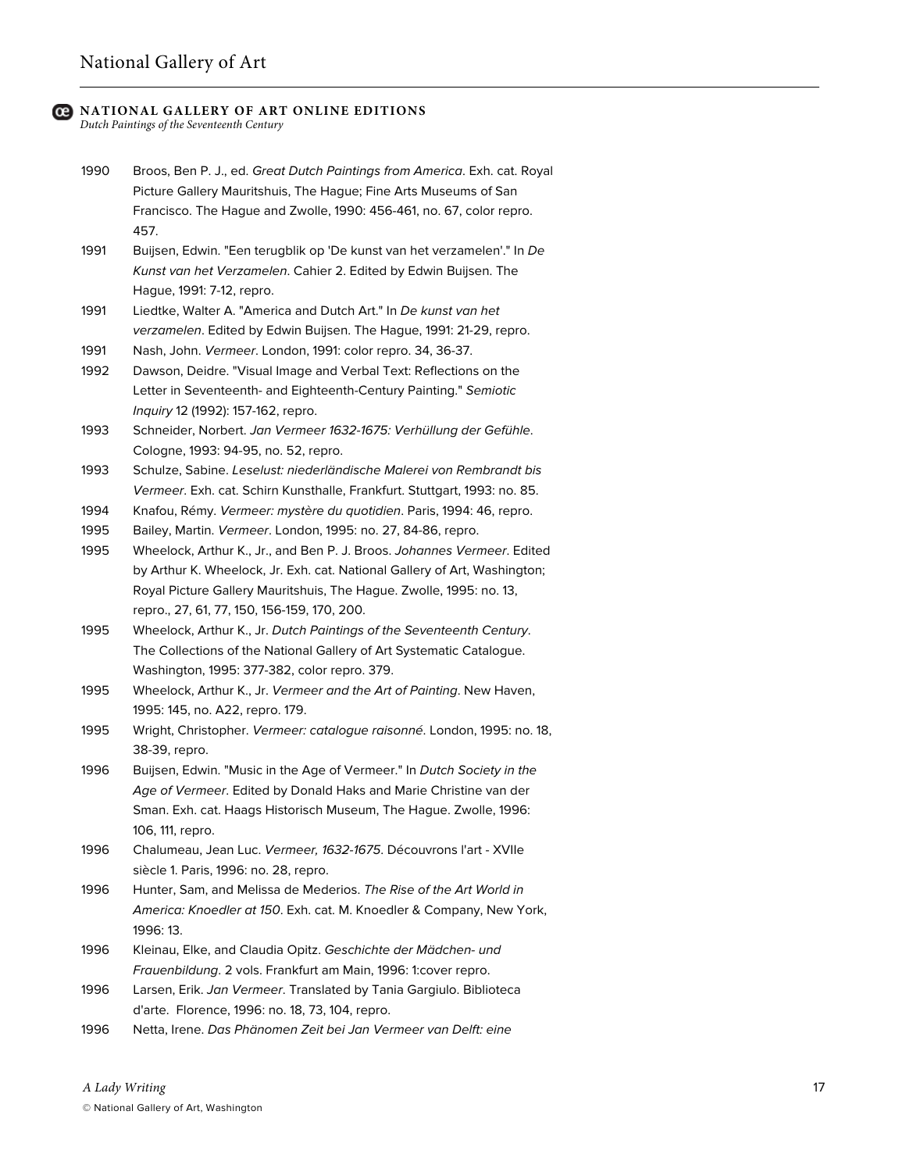*Dutch Paintings of the Seventeenth Century*

- 1990 Broos, Ben P. J., ed. *Great Dutch Paintings from America*. Exh. cat. Royal Picture Gallery Mauritshuis, The Hague; Fine Arts Museums of San Francisco. The Hague and Zwolle, 1990: 456-461, no. 67, color repro. 457.
- 1991 Buijsen, Edwin. "Een terugblik op 'De kunst van het verzamelen'." In *De Kunst van het Verzamelen*. Cahier 2. Edited by Edwin Buijsen. The Hague, 1991: 7-12, repro.
- 1991 Liedtke, Walter A. "America and Dutch Art." In *De kunst van het verzamelen*. Edited by Edwin Buijsen. The Hague, 1991: 21-29, repro.
- 1991 Nash, John. *Vermeer*. London, 1991: color repro. 34, 36-37.
- 1992 Dawson, Deidre. "Visual Image and Verbal Text: Reflections on the Letter in Seventeenth- and Eighteenth-Century Painting." *Semiotic Inquiry* 12 (1992): 157-162, repro.
- 1993 Schneider, Norbert. *Jan Vermeer 1632-1675: Verhüllung der Gefühle*. Cologne, 1993: 94-95, no. 52, repro.
- 1993 Schulze, Sabine. *Leselust: niederländische Malerei von Rembrandt bis Vermeer*. Exh. cat. Schirn Kunsthalle, Frankfurt. Stuttgart, 1993: no. 85.
- 1994 Knafou, Rémy. *Vermeer: mystère du quotidien*. Paris, 1994: 46, repro.
- 1995 Bailey, Martin. *Vermeer*. London, 1995: no. 27, 84-86, repro.
- 1995 Wheelock, Arthur K., Jr., and Ben P. J. Broos. *Johannes Vermeer*. Edited by Arthur K. Wheelock, Jr. Exh. cat. National Gallery of Art, Washington; Royal Picture Gallery Mauritshuis, The Hague. Zwolle, 1995: no. 13, repro., 27, 61, 77, 150, 156-159, 170, 200.
- 1995 Wheelock, Arthur K., Jr. *Dutch Paintings of the Seventeenth Century*. The Collections of the National Gallery of Art Systematic Catalogue. Washington, 1995: 377-382, color repro. 379.
- 1995 Wheelock, Arthur K., Jr. *Vermeer and the Art of Painting*. New Haven, 1995: 145, no. A22, repro. 179.
- 1995 Wright, Christopher. *Vermeer: catalogue raisonné*. London, 1995: no. 18, 38-39, repro.
- 1996 Buijsen, Edwin. "Music in the Age of Vermeer." In *Dutch Society in the Age of Vermeer*. Edited by Donald Haks and Marie Christine van der Sman. Exh. cat. Haags Historisch Museum, The Hague. Zwolle, 1996: 106, 111, repro.
- 1996 Chalumeau, Jean Luc. *Vermeer, 1632-1675*. Découvrons l'art XVIIe siècle 1. Paris, 1996: no. 28, repro.
- 1996 Hunter, Sam, and Melissa de Mederios. *The Rise of the Art World in America: Knoedler at 150*. Exh. cat. M. Knoedler & Company, New York, 1996: 13.
- 1996 Kleinau, Elke, and Claudia Opitz. *Geschichte der Mädchen- und Frauenbildung*. 2 vols. Frankfurt am Main, 1996: 1:cover repro.
- 1996 Larsen, Erik. *Jan Vermeer*. Translated by Tania Gargiulo. Biblioteca d'arte. Florence, 1996: no. 18, 73, 104, repro.
- 1996 Netta, Irene. *Das Phänomen Zeit bei Jan Vermeer van Delft: eine*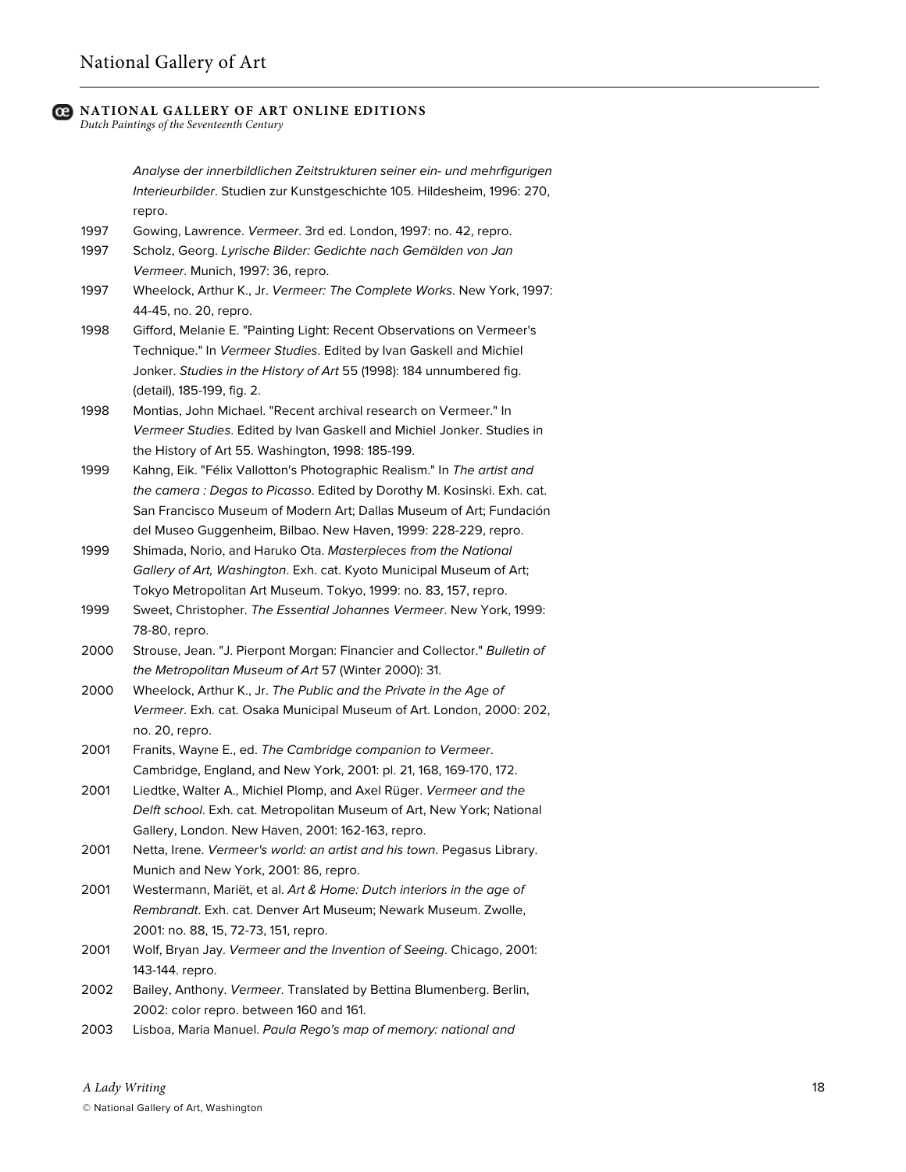*Dutch Paintings of the Seventeenth Century*

*Analyse der innerbildlichen Zeitstrukturen seiner ein- und mehrfigurigen Interieurbilder*. Studien zur Kunstgeschichte 105. Hildesheim, 1996: 270, repro.

- 1997 Gowing, Lawrence. *Vermeer*. 3rd ed. London, 1997: no. 42, repro.
- 1997 Scholz, Georg. *Lyrische Bilder: Gedichte nach Gemälden von Jan Vermeer*. Munich, 1997: 36, repro.
- 1997 Wheelock, Arthur K., Jr. *Vermeer: The Complete Works*. New York, 1997: 44-45, no. 20, repro.
- 1998 Gifford, Melanie E. "Painting Light: Recent Observations on Vermeer's Technique." In *Vermeer Studies*. Edited by Ivan Gaskell and Michiel Jonker. *Studies in the History of Art* 55 (1998): 184 unnumbered fig. (detail), 185-199, fig. 2.
- 1998 Montias, John Michael. "Recent archival research on Vermeer." In *Vermeer Studies*. Edited by Ivan Gaskell and Michiel Jonker. Studies in the History of Art 55. Washington, 1998: 185-199.
- 1999 Kahng, Eik. "Félix Vallotton's Photographic Realism." In *The artist and the camera : Degas to Picasso*. Edited by Dorothy M. Kosinski. Exh. cat. San Francisco Museum of Modern Art; Dallas Museum of Art; Fundación del Museo Guggenheim, Bilbao. New Haven, 1999: 228-229, repro.
- 1999 Shimada, Norio, and Haruko Ota. *Masterpieces from the National Gallery of Art, Washington*. Exh. cat. Kyoto Municipal Museum of Art; Tokyo Metropolitan Art Museum. Tokyo, 1999: no. 83, 157, repro.
- 1999 Sweet, Christopher. *The Essential Johannes Vermeer*. New York, 1999: 78-80, repro.
- 2000 Strouse, Jean. "J. Pierpont Morgan: Financier and Collector." *Bulletin of the Metropolitan Museum of Art* 57 (Winter 2000): 31.
- 2000 Wheelock, Arthur K., Jr. *The Public and the Private in the Age of Vermeer*. Exh. cat. Osaka Municipal Museum of Art. London, 2000: 202, no. 20, repro.
- 2001 Franits, Wayne E., ed. *The Cambridge companion to Vermeer*. Cambridge, England, and New York, 2001: pl. 21, 168, 169-170, 172.
- 2001 Liedtke, Walter A., Michiel Plomp, and Axel Rüger. *Vermeer and the Delft school*. Exh. cat. Metropolitan Museum of Art, New York; National Gallery, London. New Haven, 2001: 162-163, repro.
- 2001 Netta, Irene. *Vermeer's world: an artist and his town*. Pegasus Library. Munich and New York, 2001: 86, repro.
- 2001 Westermann, Mariët, et al. *Art & Home: Dutch interiors in the age of Rembrandt*. Exh. cat. Denver Art Museum; Newark Museum. Zwolle, 2001: no. 88, 15, 72-73, 151, repro.
- 2001 Wolf, Bryan Jay. *Vermeer and the Invention of Seeing*. Chicago, 2001: 143-144. repro.
- 2002 Bailey, Anthony. *Vermeer*. Translated by Bettina Blumenberg. Berlin, 2002: color repro. between 160 and 161.
- 2003 Lisboa, Maria Manuel. *Paula Rego's map of memory: national and*